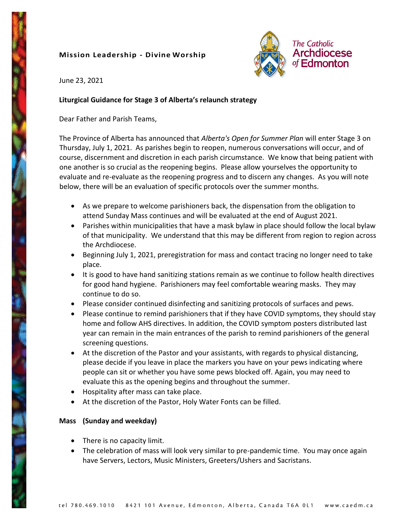# **Mission Leadership - Divine Worship**



June 23, 2021

### **Liturgical Guidance for Stage 3 of Alberta's relaunch strategy**

Dear Father and Parish Teams,

The Province of Alberta has announced that *Alberta's Open for Summer Plan* will enter Stage 3 on Thursday, July 1, 2021. As parishes begin to reopen, numerous conversations will occur, and of course, discernment and discretion in each parish circumstance. We know that being patient with one another is so crucial as the reopening begins. Please allow yourselves the opportunity to evaluate and re-evaluate as the reopening progress and to discern any changes. As you will note below, there will be an evaluation of specific protocols over the summer months.

- As we prepare to welcome parishioners back, the dispensation from the obligation to attend Sunday Mass continues and will be evaluated at the end of August 2021.
- Parishes within municipalities that have a mask bylaw in place should follow the local bylaw of that municipality. We understand that this may be different from region to region across the Archdiocese.
- Beginning July 1, 2021, preregistration for mass and contact tracing no longer need to take place.
- It is good to have hand sanitizing stations remain as we continue to follow health directives for good hand hygiene. Parishioners may feel comfortable wearing masks. They may continue to do so.
- Please consider continued disinfecting and sanitizing protocols of surfaces and pews.
- Please continue to remind parishioners that if they have COVID symptoms, they should stay home and follow AHS directives. In addition, the COVID symptom posters distributed last year can remain in the main entrances of the parish to remind parishioners of the general screening questions.
- At the discretion of the Pastor and your assistants, with regards to physical distancing, please decide if you leave in place the markers you have on your pews indicating where people can sit or whether you have some pews blocked off. Again, you may need to evaluate this as the opening begins and throughout the summer.
- Hospitality after mass can take place.
- At the discretion of the Pastor, Holy Water Fonts can be filled.

# **Mass (Sunday and weekday)**

- There is no capacity limit.
- The celebration of mass will look very similar to pre-pandemic time. You may once again have Servers, Lectors, Music Ministers, Greeters/Ushers and Sacristans.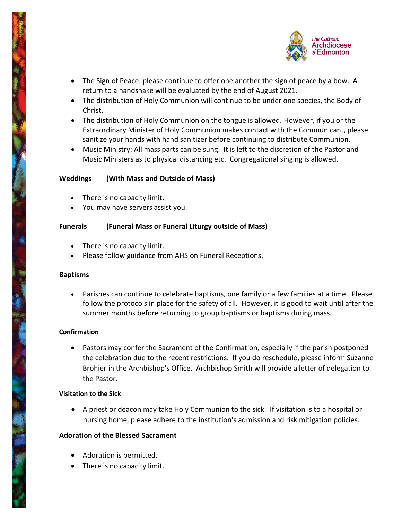

- The Sign of Peace: please continue to offer one another the sign of peace by a bow. A return to a handshake will be evaluated by the end of August 2021.
- The distribution of Holy Communion will continue to be under one species, the Body of Christ.
- The distribution of Holy Communion on the tongue is allowed. However, if you or the Extraordinary Minister of Holy Communion makes contact with the Communicant, please sanitize your hands with hand sanitizer before continuing to distribute Communion.
- Music Ministry: All mass parts can be sung. It is left to the discretion of the Pastor and Music Ministers as to physical distancing etc. Congregational singing is allowed.

# **Weddings (With Mass and Outside of Mass)**

- There is no capacity limit.
- You may have servers assist you.

### **Funerals (Funeral Mass or Funeral Liturgy outside of Mass)**

- There is no capacity limit.
- Please follow guidance from AHS on Funeral Receptions.

### **Baptisms**

• Parishes can continue to celebrate baptisms, one family or a few families at a time. Please follow the protocols in place for the safety of all. However, it is good to wait until after the summer months before returning to group baptisms or baptisms during mass.

# **Confirmation**

• Pastors may confer the Sacrament of the Confirmation, especially if the parish postponed the celebration due to the recent restrictions. If you do reschedule, please inform Suzanne Brohier in the Archbishop's Office. Archbishop Smith will provide a letter of delegation to the Pastor.

### **Visitation to the Sick**

• A priest or deacon may take Holy Communion to the sick. If visitation is to a hospital or nursing home, please adhere to the institution's admission and risk mitigation policies.

# **Adoration of the Blessed Sacrament**

- Adoration is permitted.
- There is no capacity limit.